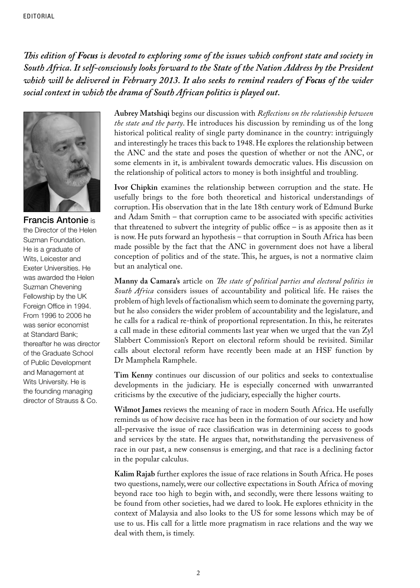*This edition of Focus is devoted to exploring some of the issues which confront state and society in South Africa. It self-consciously looks forward to the State of the Nation Address by the President which will be delivered in February 2013. It also seeks to remind readers of Focus of the wider social context in which the drama of South African politics is played out.* 



Francis Antonie is the Director of the Helen Suzman Foundation. He is a graduate of Wits, Leicester and Exeter Universities. He was awarded the Helen Suzman Chevening Fellowship by the UK Foreign Office in 1994. From 1996 to 2006 he was senior economist at Standard Bank; thereafter he was director of the Graduate School of Public Development and Management at Wits University. He is the founding managing director of Strauss & Co.

**Aubrey Matshiqi** begins our discussion with *Reflections on the relationship between the state and the party*. He introduces his discussion by reminding us of the long historical political reality of single party dominance in the country: intriguingly and interestingly he traces this back to 1948. He explores the relationship between the ANC and the state and poses the question of whether or not the ANC, or some elements in it, is ambivalent towards democratic values. His discussion on the relationship of political actors to money is both insightful and troubling.

**Ivor Chipkin** examines the relationship between corruption and the state. He usefully brings to the fore both theoretical and historical understandings of corruption. His observation that in the late 18th century work of Edmund Burke and Adam Smith – that corruption came to be associated with specific activities that threatened to subvert the integrity of public office – is as apposite then as it is now. He puts forward an hypothesis – that corruption in South Africa has been made possible by the fact that the ANC in government does not have a liberal conception of politics and of the state. This, he argues, is not a normative claim but an analytical one.

**Manny da Camara's** article on *The state of political parties and electoral politics in South Africa* considers issues of accountability and political life. He raises the problem of high levels of factionalism which seem to dominate the governing party, but he also considers the wider problem of accountability and the legislature, and he calls for a radical re-think of proportional representation. In this, he reiterates a call made in these editorial comments last year when we urged that the van Zyl Slabbert Commission's Report on electoral reform should be revisited. Similar calls about electoral reform have recently been made at an HSF function by Dr Mamphela Ramphele.

**Tim Kenny** continues our discussion of our politics and seeks to contextualise developments in the judiciary. He is especially concerned with unwarranted criticisms by the executive of the judiciary, especially the higher courts.

**Wilmot James** reviews the meaning of race in modern South Africa. He usefully reminds us of how decisive race has been in the formation of our society and how all-pervasive the issue of race classification was in determining access to goods and services by the state. He argues that, notwithstanding the pervasiveness of race in our past, a new consensus is emerging, and that race is a declining factor in the popular calculus.

**Kalim Rajab** further explores the issue of race relations in South Africa. He poses two questions, namely, were our collective expectations in South Africa of moving beyond race too high to begin with, and secondly, were there lessons waiting to be found from other societies, had we dared to look. He explores ethnicity in the context of Malaysia and also looks to the US for some lessons which may be of use to us. His call for a little more pragmatism in race relations and the way we deal with them, is timely.